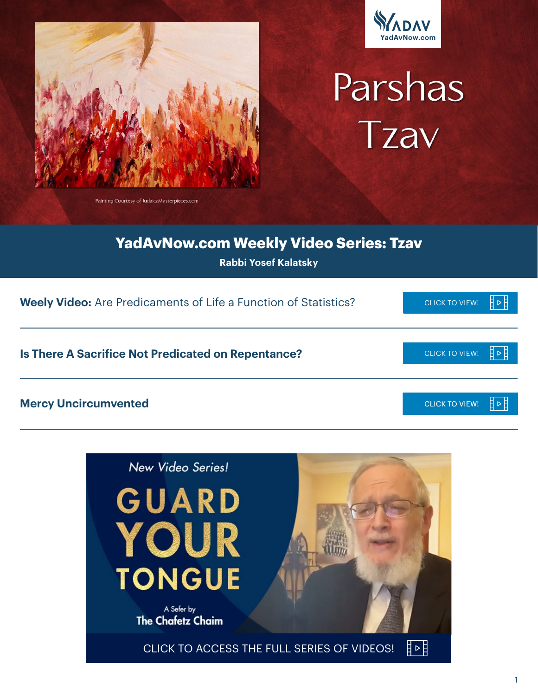



# Parshas Tzav

Painting Courtesy of IudaicaMasterpieces.com

## **YadAvNow.com Weekly Video Series: Tzav**

**Rabbi Yosef Kalatsky**

| <b>Weely Video:</b> Are Predicaments of Life a Function of Statistics? | <b>CLICK TO VIEW!</b> |
|------------------------------------------------------------------------|-----------------------|
| Is There A Sacrifice Not Predicated on Repentance?                     | <b>CLICK TO VIEW!</b> |
| <b>Mercy Uncircumvented</b>                                            | <b>CLICK TO VIEW!</b> |

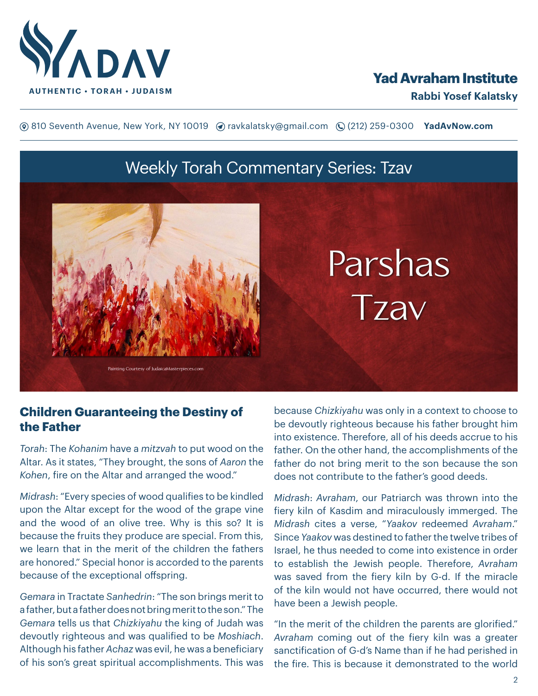

## **Yad Avraham Institute**

**(**® 810 Seventh Avenue, New York, NY 10019 (? ravkalatsky@gmail.com (2(212) 259-0300 **YadAvNow.com** 

## Weekly Torah Commentary Series: Tzav



#### **Children Guaranteeing the Destiny of the Father**

*Torah*: The *Kohanim* have a *mitzvah* to put wood on the Altar. As it states, "They brought, the sons of *Aaron* the *Kohen*, fire on the Altar and arranged the wood."

*Midrash*: "Every species of wood qualifies to be kindled upon the Altar except for the wood of the grape vine and the wood of an olive tree. Why is this so? It is because the fruits they produce are special. From this, we learn that in the merit of the children the fathers are honored." Special honor is accorded to the parents because of the exceptional offspring.

*Gemara* in Tractate *Sanhedrin*: "The son brings merit to a father, but a father does not bring merit to the son." The *Gemara* tells us that *Chizkiyahu* the king of Judah was devoutly righteous and was qualified to be *Moshiach*. Although his father *Achaz* was evil, he was a beneficiary of his son's great spiritual accomplishments. This was

because *Chizkiyahu* was only in a context to choose to be devoutly righteous because his father brought him into existence. Therefore, all of his deeds accrue to his father. On the other hand, the accomplishments of the father do not bring merit to the son because the son does not contribute to the father's good deeds.

*Midrash*: *Avraham*, our Patriarch was thrown into the fiery kiln of Kasdim and miraculously immerged. The *Midrash* cites a verse, "*Yaakov* redeemed *Avraham*." Since *Yaakov* was destined to father the twelve tribes of Israel, he thus needed to come into existence in order to establish the Jewish people. Therefore, *Avraham* was saved from the fiery kiln by G-d. If the miracle of the kiln would not have occurred, there would not have been a Jewish people.

"In the merit of the children the parents are glorified." *Avraham* coming out of the fiery kiln was a greater sanctification of G-d's Name than if he had perished in the fire. This is because it demonstrated to the world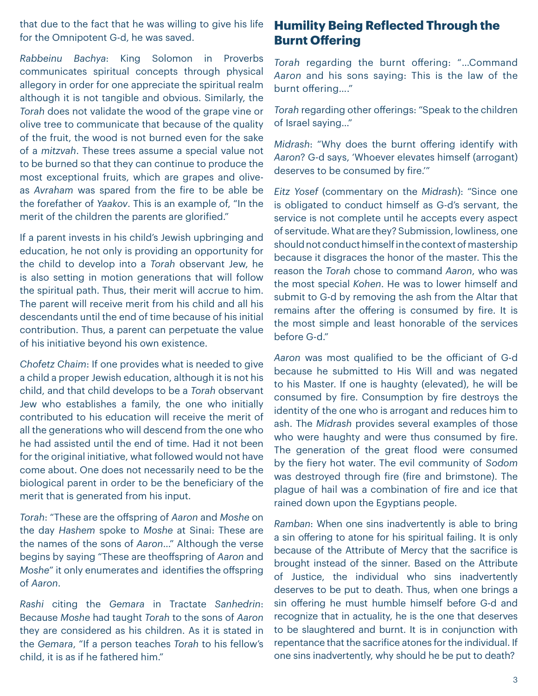that due to the fact that he was willing to give his life for the Omnipotent G-d, he was saved.

*Rabbeinu Bachya*: King Solomon in Proverbs communicates spiritual concepts through physical allegory in order for one appreciate the spiritual realm although it is not tangible and obvious. Similarly, the *Torah* does not validate the wood of the grape vine or olive tree to communicate that because of the quality of the fruit, the wood is not burned even for the sake of a *mitzvah*. These trees assume a special value not to be burned so that they can continue to produce the most exceptional fruits, which are grapes and oliveas *Avraham* was spared from the fire to be able be the forefather of *Yaakov*. This is an example of, "In the merit of the children the parents are glorified."

If a parent invests in his child's Jewish upbringing and education, he not only is providing an opportunity for the child to develop into a *Torah* observant Jew, he is also setting in motion generations that will follow the spiritual path. Thus, their merit will accrue to him. The parent will receive merit from his child and all his descendants until the end of time because of his initial contribution. Thus, a parent can perpetuate the value of his initiative beyond his own existence.

*Chofetz Chaim*: If one provides what is needed to give a child a proper Jewish education, although it is not his child, and that child develops to be a *Torah* observant Jew who establishes a family, the one who initially contributed to his education will receive the merit of all the generations who will descend from the one who he had assisted until the end of time. Had it not been for the original initiative, what followed would not have come about. One does not necessarily need to be the biological parent in order to be the beneficiary of the merit that is generated from his input.

*Torah*: "These are the offspring of *Aaron* and *Moshe* on the day *Hashem* spoke to *Moshe* at Sinai: These are the names of the sons of *Aaron*…" Although the verse begins by saying "These are theoffspring of *Aaron* and *Moshe*" it only enumerates and identifies the offspring of *Aaron*.

*Rashi* citing the *Gemara* in Tractate *Sanhedrin*: Because *Moshe* had taught *Torah* to the sons of *Aaron* they are considered as his children. As it is stated in the *Gemara*, "If a person teaches *Torah* to his fellow's child, it is as if he fathered him."

### **Humility Being Reflected Through the Burnt Offering**

*Torah* regarding the burnt offering: "…Command *Aaron* and his sons saying: This is the law of the burnt offering…."

*Torah* regarding other offerings: "Speak to the children of Israel saying…"

*Midrash*: "Why does the burnt offering identify with *Aaron*? G-d says, 'Whoever elevates himself (arrogant) deserves to be consumed by fire.'"

*Eitz Yosef* (commentary on the *Midrash*): "Since one is obligated to conduct himself as G-d's servant, the service is not complete until he accepts every aspect of servitude. What are they? Submission, lowliness, one should not conduct himself in the context of mastership because it disgraces the honor of the master. This the reason the *Torah* chose to command *Aaron*, who was the most special *Kohen*. He was to lower himself and submit to G-d by removing the ash from the Altar that remains after the offering is consumed by fire. It is the most simple and least honorable of the services before G-d."

*Aaron* was most qualified to be the officiant of G-d because he submitted to His Will and was negated to his Master. If one is haughty (elevated), he will be consumed by fire. Consumption by fire destroys the identity of the one who is arrogant and reduces him to ash. The *Midrash* provides several examples of those who were haughty and were thus consumed by fire. The generation of the great flood were consumed by the fiery hot water. The evil community of *Sodom* was destroyed through fire (fire and brimstone). The plague of hail was a combination of fire and ice that rained down upon the Egyptians people.

*Ramban*: When one sins inadvertently is able to bring a sin offering to atone for his spiritual failing. It is only because of the Attribute of Mercy that the sacrifice is brought instead of the sinner. Based on the Attribute of Justice, the individual who sins inadvertently deserves to be put to death. Thus, when one brings a sin offering he must humble himself before G-d and recognize that in actuality, he is the one that deserves to be slaughtered and burnt. It is in conjunction with repentance that the sacrifice atones for the individual. If one sins inadvertently, why should he be put to death?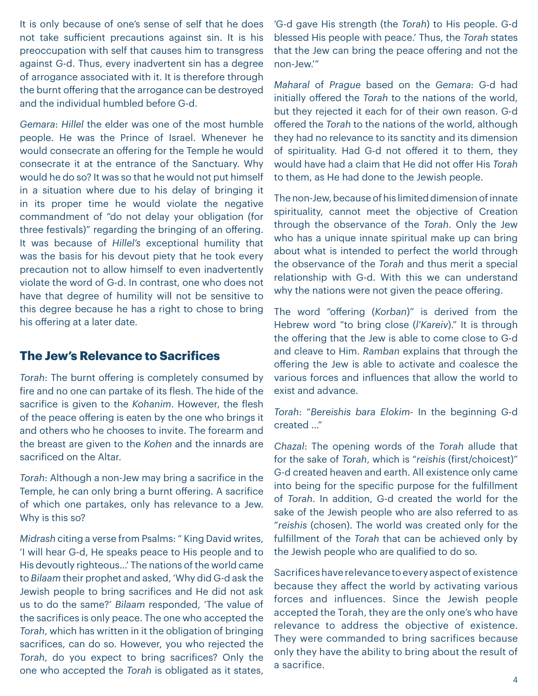It is only because of one's sense of self that he does not take sufficient precautions against sin. It is his preoccupation with self that causes him to transgress against G-d. Thus, every inadvertent sin has a degree of arrogance associated with it. It is therefore through the burnt offering that the arrogance can be destroyed and the individual humbled before G-d.

*Gemara*: *Hillel* the elder was one of the most humble people. He was the Prince of Israel. Whenever he would consecrate an offering for the Temple he would consecrate it at the entrance of the Sanctuary. Why would he do so? It was so that he would not put himself in a situation where due to his delay of bringing it in its proper time he would violate the negative commandment of "do not delay your obligation (for three festivals)" regarding the bringing of an offering. It was because of *Hillel's* exceptional humility that was the basis for his devout piety that he took every precaution not to allow himself to even inadvertently violate the word of G-d. In contrast, one who does not have that degree of humility will not be sensitive to this degree because he has a right to chose to bring his offering at a later date.

#### **The Jew's Relevance to Sacrifices**

*Torah*: The burnt offering is completely consumed by fire and no one can partake of its flesh. The hide of the sacrifice is given to the *Kohanim*. However, the flesh of the peace offering is eaten by the one who brings it and others who he chooses to invite. The forearm and the breast are given to the *Kohen* and the innards are sacrificed on the Altar.

*Torah*: Although a non-Jew may bring a sacrifice in the Temple, he can only bring a burnt offering. A sacrifice of which one partakes, only has relevance to a Jew. Why is this so?

*Midrash* citing a verse from Psalms: " King David writes, 'I will hear G-d, He speaks peace to His people and to His devoutly righteous…' The nations of the world came to *Bilaam* their prophet and asked, 'Why did G-d ask the Jewish people to bring sacrifices and He did not ask us to do the same?' *Bilaam* responded, 'The value of the sacrifices is only peace. The one who accepted the *Torah*, which has written in it the obligation of bringing sacrifices, can do so. However, you who rejected the *Torah*, do you expect to bring sacrifices? Only the one who accepted the *Torah* is obligated as it states,

'G-d gave His strength (the *Torah*) to His people. G-d blessed His people with peace.' Thus, the *Torah* states that the Jew can bring the peace offering and not the non-Jew.'"

*Maharal* of *Prague* based on the *Gemara*: G-d had initially offered the *Torah* to the nations of the world, but they rejected it each for of their own reason. G-d offered the *Torah* to the nations of the world, although they had no relevance to its sanctity and its dimension of spirituality. Had G-d not offered it to them, they would have had a claim that He did not offer His *Torah* to them, as He had done to the Jewish people.

The non-Jew, because of his limited dimension of innate spirituality, cannot meet the objective of Creation through the observance of the *Torah*. Only the Jew who has a unique innate spiritual make up can bring about what is intended to perfect the world through the observance of the *Torah* and thus merit a special relationship with G-d. With this we can understand why the nations were not given the peace offering.

The word "offering (*Korban*)" is derived from the Hebrew word "to bring close (*l'Kareiv*)." It is through the offering that the Jew is able to come close to G-d and cleave to Him. *Ramban* explains that through the offering the Jew is able to activate and coalesce the various forces and influences that allow the world to exist and advance.

*Torah*: "*Bereishis bara Elokim*- In the beginning G-d created …"

*Chazal*: The opening words of the *Torah* allude that for the sake of *Torah*, which is "*reishis* (first/choicest)" G-d created heaven and earth. All existence only came into being for the specific purpose for the fulfillment of *Torah*. In addition, G-d created the world for the sake of the Jewish people who are also referred to as "*reishis* (chosen). The world was created only for the fulfillment of the *Torah* that can be achieved only by the Jewish people who are qualified to do so.

Sacrifices have relevance to every aspect of existence because they affect the world by activating various forces and influences. Since the Jewish people accepted the Torah, they are the only one's who have relevance to address the objective of existence. They were commanded to bring sacrifices because only they have the ability to bring about the result of a sacrifice.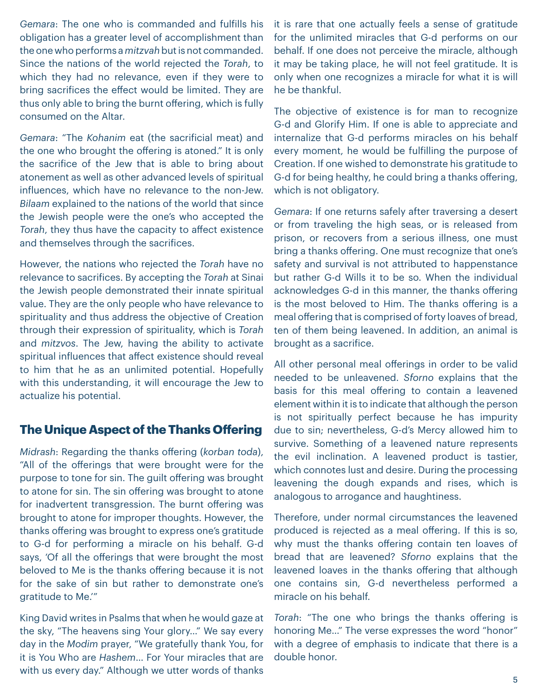*Gemara*: The one who is commanded and fulfills his obligation has a greater level of accomplishment than the one who performs a *mitzvah* but is not commanded. Since the nations of the world rejected the *Torah*, to which they had no relevance, even if they were to bring sacrifices the effect would be limited. They are thus only able to bring the burnt offering, which is fully consumed on the Altar.

*Gemara*: "The *Kohanim* eat (the sacrificial meat) and the one who brought the offering is atoned." It is only the sacrifice of the Jew that is able to bring about atonement as well as other advanced levels of spiritual influences, which have no relevance to the non-Jew. *Bilaam* explained to the nations of the world that since the Jewish people were the one's who accepted the *Torah*, they thus have the capacity to affect existence and themselves through the sacrifices.

However, the nations who rejected the *Torah* have no relevance to sacrifices. By accepting the *Torah* at Sinai the Jewish people demonstrated their innate spiritual value. They are the only people who have relevance to spirituality and thus address the objective of Creation through their expression of spirituality, which is *Torah* and *mitzvos*. The Jew, having the ability to activate spiritual influences that affect existence should reveal to him that he as an unlimited potential. Hopefully with this understanding, it will encourage the Jew to actualize his potential.

#### **The Unique Aspect of the Thanks Offering**

*Midrash*: Regarding the thanks offering (*korban toda*), "All of the offerings that were brought were for the purpose to tone for sin. The guilt offering was brought to atone for sin. The sin offering was brought to atone for inadvertent transgression. The burnt offering was brought to atone for improper thoughts. However, the thanks offering was brought to express one's gratitude to G-d for performing a miracle on his behalf. G-d says, 'Of all the offerings that were brought the most beloved to Me is the thanks offering because it is not for the sake of sin but rather to demonstrate one's gratitude to Me.'"

King David writes in Psalms that when he would gaze at the sky, "The heavens sing Your glory…" We say every day in the *Modim* prayer, "We gratefully thank You, for it is You Who are *Hashem*… For Your miracles that are with us every day." Although we utter words of thanks

it is rare that one actually feels a sense of gratitude for the unlimited miracles that G-d performs on our behalf. If one does not perceive the miracle, although it may be taking place, he will not feel gratitude. It is only when one recognizes a miracle for what it is will he be thankful.

The objective of existence is for man to recognize G-d and Glorify Him. If one is able to appreciate and internalize that G-d performs miracles on his behalf every moment, he would be fulfilling the purpose of Creation. If one wished to demonstrate his gratitude to G-d for being healthy, he could bring a thanks offering, which is not obligatory.

*Gemara*: If one returns safely after traversing a desert or from traveling the high seas, or is released from prison, or recovers from a serious illness, one must bring a thanks offering. One must recognize that one's safety and survival is not attributed to happenstance but rather G-d Wills it to be so. When the individual acknowledges G-d in this manner, the thanks offering is the most beloved to Him. The thanks offering is a meal offering that is comprised of forty loaves of bread, ten of them being leavened. In addition, an animal is brought as a sacrifice.

All other personal meal offerings in order to be valid needed to be unleavened. *Sforno* explains that the basis for this meal offering to contain a leavened element within it is to indicate that although the person is not spiritually perfect because he has impurity due to sin; nevertheless, G-d's Mercy allowed him to survive. Something of a leavened nature represents the evil inclination. A leavened product is tastier, which connotes lust and desire. During the processing leavening the dough expands and rises, which is analogous to arrogance and haughtiness.

Therefore, under normal circumstances the leavened produced is rejected as a meal offering. If this is so, why must the thanks offering contain ten loaves of bread that are leavened? *Sforno* explains that the leavened loaves in the thanks offering that although one contains sin, G-d nevertheless performed a miracle on his behalf.

*Torah*: "The one who brings the thanks offering is honoring Me…" The verse expresses the word "honor" with a degree of emphasis to indicate that there is a double honor.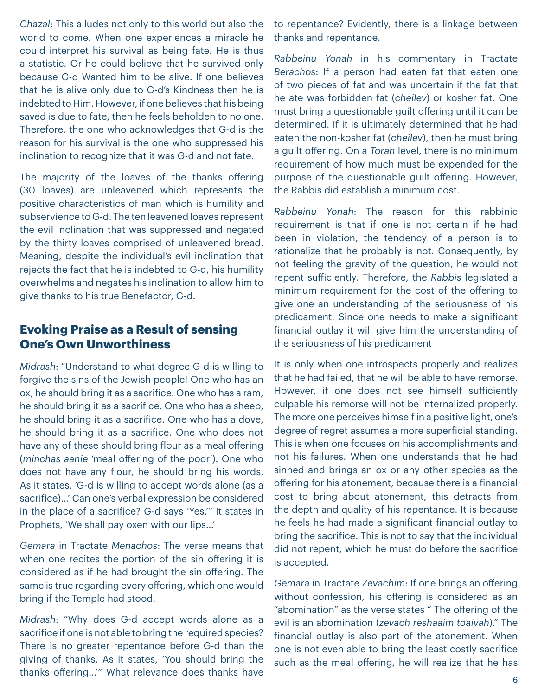*Chazal*: This alludes not only to this world but also the world to come. When one experiences a miracle he could interpret his survival as being fate. He is thus a statistic. Or he could believe that he survived only because G-d Wanted him to be alive. If one believes that he is alive only due to G-d's Kindness then he is indebted to Him. However, if one believes that his being saved is due to fate, then he feels beholden to no one. Therefore, the one who acknowledges that G-d is the reason for his survival is the one who suppressed his inclination to recognize that it was G-d and not fate.

The majority of the loaves of the thanks offering (30 loaves) are unleavened which represents the positive characteristics of man which is humility and subservience to G-d. The ten leavened loaves represent the evil inclination that was suppressed and negated by the thirty loaves comprised of unleavened bread. Meaning, despite the individual's evil inclination that rejects the fact that he is indebted to G-d, his humility overwhelms and negates his inclination to allow him to give thanks to his true Benefactor, G-d.

#### **Evoking Praise as a Result of sensing One's Own Unworthiness**

*Midrash*: "Understand to what degree G-d is willing to forgive the sins of the Jewish people! One who has an ox, he should bring it as a sacrifice. One who has a ram, he should bring it as a sacrifice. One who has a sheep, he should bring it as a sacrifice. One who has a dove, he should bring it as a sacrifice. One who does not have any of these should bring flour as a meal offering (*minchas aanie* 'meal offering of the poor'). One who does not have any flour, he should bring his words. As it states, 'G-d is willing to accept words alone (as a sacrifice)…' Can one's verbal expression be considered in the place of a sacrifice? G-d says 'Yes.'" It states in Prophets, 'We shall pay oxen with our lips…'

*Gemara* in Tractate *Menachos*: The verse means that when one recites the portion of the sin offering it is considered as if he had brought the sin offering. The same is true regarding every offering, which one would bring if the Temple had stood.

*Midrash*: "Why does G-d accept words alone as a sacrifice if one is not able to bring the required species? There is no greater repentance before G-d than the giving of thanks. As it states, 'You should bring the thanks offering…'" What relevance does thanks have to repentance? Evidently, there is a linkage between thanks and repentance.

*Rabbeinu Yonah* in his commentary in Tractate *Berachos*: If a person had eaten fat that eaten one of two pieces of fat and was uncertain if the fat that he ate was forbidden fat (*cheilev*) or kosher fat. One must bring a questionable guilt offering until it can be determined. If it is ultimately determined that he had eaten the non-kosher fat (*cheilev*), then he must bring a guilt offering. On a *Torah* level, there is no minimum requirement of how much must be expended for the purpose of the questionable guilt offering. However, the Rabbis did establish a minimum cost.

*Rabbeinu Yonah*: The reason for this rabbinic requirement is that if one is not certain if he had been in violation, the tendency of a person is to rationalize that he probably is not. Consequently, by not feeling the gravity of the question, he would not repent sufficiently. Therefore, the *Rabbis* legislated a minimum requirement for the cost of the offering to give one an understanding of the seriousness of his predicament. Since one needs to make a significant financial outlay it will give him the understanding of the seriousness of his predicament

It is only when one introspects properly and realizes that he had failed, that he will be able to have remorse. However, if one does not see himself sufficiently culpable his remorse will not be internalized properly. The more one perceives himself in a positive light, one's degree of regret assumes a more superficial standing. This is when one focuses on his accomplishments and not his failures. When one understands that he had sinned and brings an ox or any other species as the offering for his atonement, because there is a financial cost to bring about atonement, this detracts from the depth and quality of his repentance. It is because he feels he had made a significant financial outlay to bring the sacrifice. This is not to say that the individual did not repent, which he must do before the sacrifice is accepted.

*Gemara* in Tractate *Zevachim*: If one brings an offering without confession, his offering is considered as an "abomination" as the verse states " The offering of the evil is an abomination (*zevach reshaaim toaivah*)." The financial outlay is also part of the atonement. When one is not even able to bring the least costly sacrifice such as the meal offering, he will realize that he has